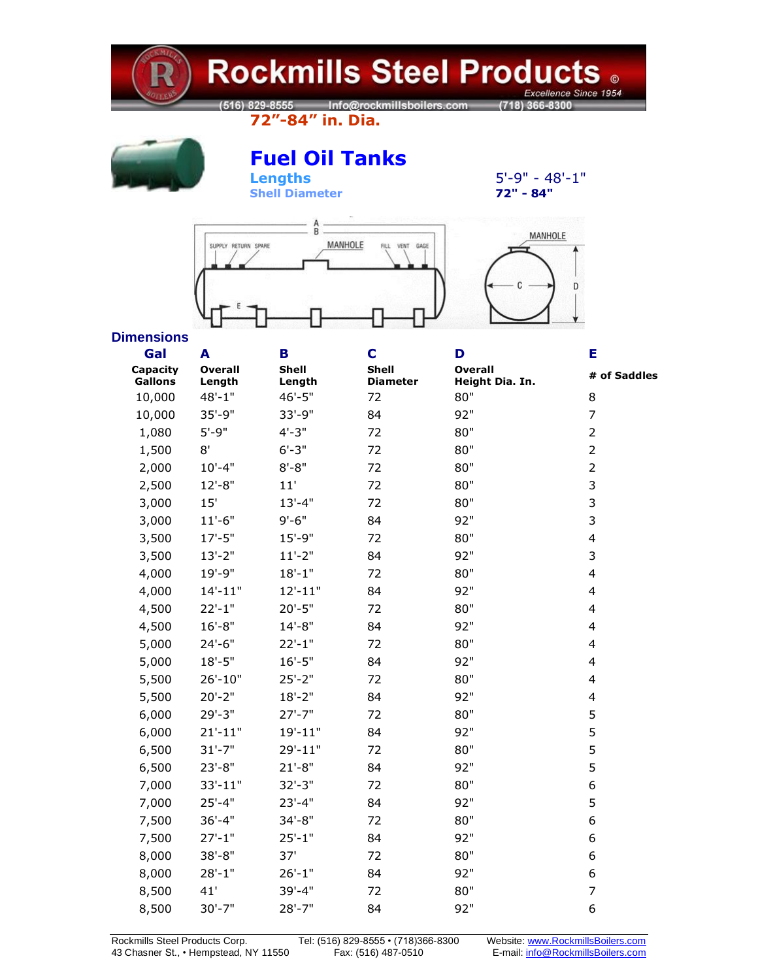

## **Rockmills Steel Products .** Excellence Since 1954

**72"-84" in. Dia.**



# **Fuel [Oil Tanks](http://www.ctvweb.com/rkmills/tanks_detail.asp?min=72&max=84##)**

 $\overline{\text{Shell}}$  **Diameter** 

**Lengths** 5'-9" - 48'-1"<br>
Shell Diameter 22" - 84"



### **Dimensions**

| Gal                        | A<br><b>Overall</b><br>Length | B<br><b>Shell</b><br>Length | C                               | D                                 | Е<br># of Saddles<br>8  |  |
|----------------------------|-------------------------------|-----------------------------|---------------------------------|-----------------------------------|-------------------------|--|
| Capacity<br><b>Gallons</b> |                               |                             | <b>Shell</b><br><b>Diameter</b> | <b>Overall</b><br>Height Dia. In. |                         |  |
| 10,000                     | $48 - 1"$                     | $46' - 5"$                  | 72                              | 80"                               |                         |  |
| 10,000                     | $35 - 9"$                     | 33'-9"                      | 84                              | 92"                               | 7                       |  |
| 1,080                      | $5' - 9"$                     | $4 - 3"$                    | 72                              | 80"                               | $\overline{2}$          |  |
| 1,500                      | 8'                            | $6' - 3"$                   | 72                              | 80"                               | $\overline{2}$          |  |
| 2,000                      | $10'-4"$                      | $8 - 8"$                    | 72                              | 80"                               | $\overline{2}$          |  |
| 2,500                      | $12 - 8"$                     | 11'                         | 72                              | 80"                               | 3                       |  |
| 3,000                      | 15'                           | $13'-4"$                    | 72                              | 80"                               | 3                       |  |
| 3,000                      | $11'-6"$                      | $9' - 6"$                   | 84                              | 92"                               | 3                       |  |
| 3,500                      | $17 - 5"$                     | $15 - 9"$                   | 72                              | 80"                               | $\overline{\mathbf{4}}$ |  |
| 3,500                      | $13'-2"$                      | $11'-2"$                    | 84                              | 92"                               | 3                       |  |
| 4,000                      | $19' - 9"$                    | $18 - 1"$                   | 72                              | 80"                               | $\overline{\mathbf{4}}$ |  |
| 4,000                      | $14'-11"$                     | $12'-11"$                   | 84                              | 92"                               | $\overline{\mathbf{4}}$ |  |
| 4,500                      | $22'-1$ "                     | $20'-5"$                    | 72                              | 80"                               | $\overline{\mathbf{4}}$ |  |
| 4,500                      | $16' - 8"$                    | $14 - 8"$                   | 84                              | 92"                               | 4                       |  |
| 5,000                      | $24'-6"$                      | $22'-1$ "                   | 72                              | 80"                               | 4                       |  |
| 5,000                      | $18 - 5"$                     | $16'-5"$                    | 84                              | 92"                               | 4                       |  |
| 5,500                      | $26' - 10"$                   | $25 - 2"$                   | 72                              | 80"                               | 4                       |  |
| 5,500                      | $20'-2"$                      | $18 - 2"$                   | 84                              | 92"                               | $\overline{\mathbf{4}}$ |  |
| 6,000                      | $29' - 3"$                    | $27' - 7"$                  | 72                              | 80"                               | 5                       |  |
| 6,000                      | $21'-11"$                     | $19' - 11"$                 | 84                              | 92"                               | 5                       |  |
| 6,500                      | $31'-7"$                      | 29'-11"                     | 72                              | 80"                               | 5                       |  |
| 6,500                      | $23'-8"$                      | $21'-8"$                    | 84                              | 92"                               | 5                       |  |
| 7,000                      | $33'-11"$                     | $32 - 3"$                   | 72                              | 80"                               | 6                       |  |
| 7,000                      | $25'-4"$                      | $23'-4"$                    | 84                              | 92"                               | 5                       |  |
| 7,500                      | $36'-4"$                      | $34 - 8"$                   | 72                              | 80"                               | 6                       |  |
| 7,500                      | $27'-1$ "                     | $25 - 1"$                   | 84                              | 92"                               | 6                       |  |
| 8,000                      | $38 - 8"$                     | 37'                         | 72                              | 80"                               | 6                       |  |
| 8,000                      | $28 - 1"$                     | $26'-1$ "                   | 84                              | 92"                               | 6                       |  |
| 8,500                      | 41'                           | $39' - 4"$                  | 72                              | 80"                               | $\overline{7}$          |  |
| 8,500                      | $30'-7"$                      | $28'-7"$                    | 84                              | 92"                               | 6                       |  |